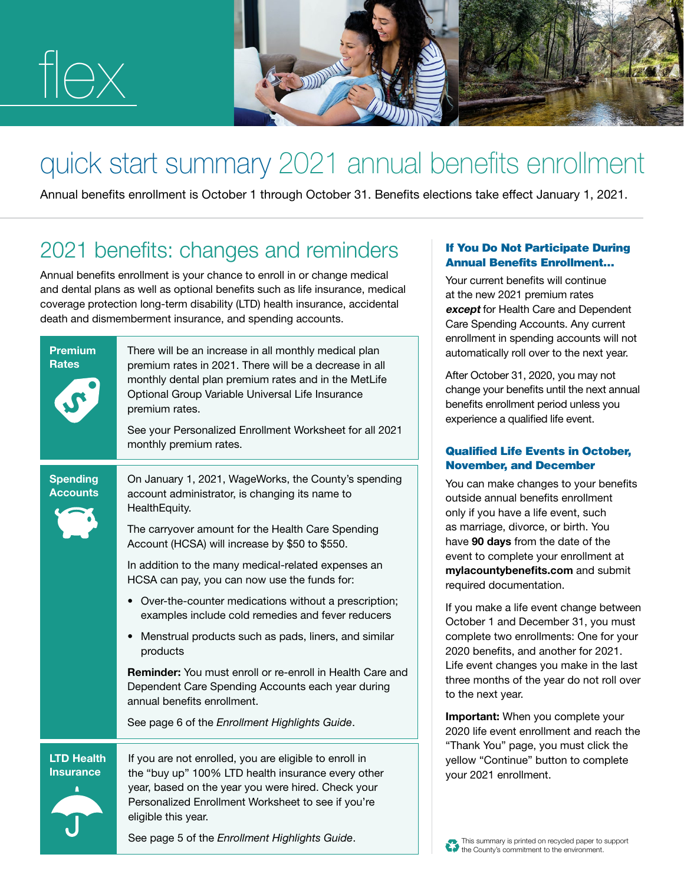

# quick start summary 2021 annual benefits enrollment

Annual benefits enrollment is October 1 through October 31. Benefits elections take effect January 1, 2021.

# 2021 benefits: changes and reminders

Annual benefits enrollment is your chance to enroll in or change medical and dental plans as well as optional benefits such as life insurance, medical coverage protection long-term disability (LTD) health insurance, accidental death and dismemberment insurance, and spending accounts.

|  | <b>Premium</b><br>Rates                    | There will be an increase in all monthly medical plan<br>premium rates in 2021. There will be a decrease in all<br>monthly dental plan premium rates and in the MetLife<br>Optional Group Variable Universal Life Insurance<br>premium rates.   | ៴៲៲៲៴៲៲៲៲៴<br>automati<br><b>After Oct</b><br>change y<br>benefits<br>experien                          |
|--|--------------------------------------------|-------------------------------------------------------------------------------------------------------------------------------------------------------------------------------------------------------------------------------------------------|---------------------------------------------------------------------------------------------------------|
|  |                                            | See your Personalized Enrollment Worksheet for all 2021<br>monthly premium rates.                                                                                                                                                               | <b>Qualifie</b>                                                                                         |
|  | <b>Spending</b><br><b>Accounts</b>         | On January 1, 2021, WageWorks, the County's spending<br>account administrator, is changing its name to<br>HealthEquity.<br>The carryover amount for the Health Care Spending                                                                    | <b>Novem</b><br>You can<br>outside a<br>only if yo<br>as marria                                         |
|  |                                            | Account (HCSA) will increase by \$50 to \$550.                                                                                                                                                                                                  | have 90<br>event to                                                                                     |
|  |                                            | In addition to the many medical-related expenses an<br>HCSA can pay, you can now use the funds for:                                                                                                                                             | mylacou<br>required<br>If you ma<br>October<br>complet<br>2020 be<br>Life ever<br>three mo<br>to the ne |
|  |                                            | • Over-the-counter medications without a prescription;<br>examples include cold remedies and fever reducers                                                                                                                                     |                                                                                                         |
|  |                                            | Menstrual products such as pads, liners, and similar<br>products                                                                                                                                                                                |                                                                                                         |
|  |                                            | <b>Reminder:</b> You must enroll or re-enroll in Health Care and<br>Dependent Care Spending Accounts each year during<br>annual benefits enrollment.                                                                                            |                                                                                                         |
|  |                                            | See page 6 of the Enrollment Highlights Guide.                                                                                                                                                                                                  | Importa<br>2020 life                                                                                    |
|  | <b>LTD Health</b><br><b>Insurance</b><br>Δ | If you are not enrolled, you are eligible to enroll in<br>the "buy up" 100% LTD health insurance every other<br>year, based on the year you were hired. Check your<br>Personalized Enrollment Worksheet to see if you're<br>eligible this year. | "Thank \<br>yellow "<br>your 202                                                                        |
|  |                                            | See page 5 of the Enrollment Highlights Guide.                                                                                                                                                                                                  | <b>Alla</b> Thie eur                                                                                    |

#### If You Do Not Participate During Annual Benefits Enrollment…

Your current benefits will continue at the new 2021 premium rates except for Health Care and Dependent Care Spending Accounts. Any current enrollment in spending accounts will not ically roll over to the next year.

tober 31, 2020, you may not your benefits until the next annual enrollment period unless you ice a qualified life event.

## ed Life Events in October, **Iber, and December**

make changes to your benefits annual benefits enrollment ou have a life event, such age, divorce, or birth. You days from the date of the complete your enrollment at untybenefits.com and submit documentation.

ake a life event change between 1 and December 31, you must e two enrollments: One for your nefits, and another for 2021. nt changes you make in the last onths of the year do not roll over ext year.

**nt:** When you complete your event enrollment and reach the You" page, you must click the Continue" button to complete 21 enrollment.